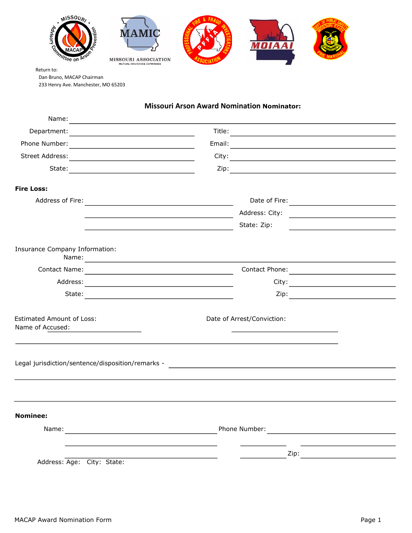

Return to: Dan Bruno, MACAP Chairman 233 Henry Ave. Manchester, MO 65203

## **Missouri Arson Award Nomination Nominator:**

| <b>Fire Loss:</b>                                                                                                                                                                                                             |                                                        |      |                                                                     |
|-------------------------------------------------------------------------------------------------------------------------------------------------------------------------------------------------------------------------------|--------------------------------------------------------|------|---------------------------------------------------------------------|
|                                                                                                                                                                                                                               |                                                        |      |                                                                     |
|                                                                                                                                                                                                                               |                                                        |      |                                                                     |
|                                                                                                                                                                                                                               |                                                        |      |                                                                     |
|                                                                                                                                                                                                                               | <u>State: Zip:</u>                                     |      | <u> 1980 - Andrea Station Barbara, amerikan personal (h. 1980).</u> |
| Insurance Company Information:                                                                                                                                                                                                |                                                        |      |                                                                     |
|                                                                                                                                                                                                                               |                                                        |      |                                                                     |
|                                                                                                                                                                                                                               |                                                        |      |                                                                     |
|                                                                                                                                                                                                                               |                                                        |      |                                                                     |
| <b>Estimated Amount of Loss:</b><br>Date of Arrest/Conviction:<br>Name of Accused:                                                                                                                                            |                                                        |      |                                                                     |
|                                                                                                                                                                                                                               |                                                        |      |                                                                     |
|                                                                                                                                                                                                                               |                                                        |      |                                                                     |
| <b>Nominee:</b>                                                                                                                                                                                                               |                                                        |      |                                                                     |
| Name: Name: Name: Name: Name: Name: Name: Name: Name: Name: Name: Name: Name: Name: Name: Name: Name: Name: Name: Name: Name: Name: Name: Name: Name: Name: Name: Name: Name: Name: Name: Name: Name: Name: Name: Name: Name: |                                                        |      |                                                                     |
|                                                                                                                                                                                                                               |                                                        |      |                                                                     |
| Address: Age: City: State:                                                                                                                                                                                                    | <u> 1989 - Jan Barbara Barbara, política establece</u> | Zip: |                                                                     |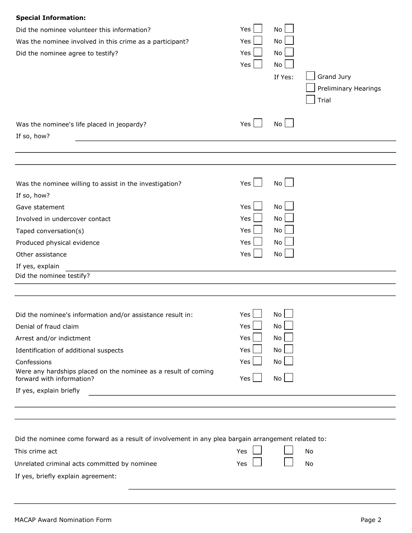| <b>Special Information:</b>                                                                         |         |         |                      |
|-----------------------------------------------------------------------------------------------------|---------|---------|----------------------|
| Did the nominee volunteer this information?                                                         | Yes     | No      |                      |
| Was the nominee involved in this crime as a participant?                                            | Yes     | No      |                      |
| Did the nominee agree to testify?                                                                   | Yes     | No      |                      |
|                                                                                                     | Yes     | No      |                      |
|                                                                                                     |         | If Yes: | Grand Jury           |
|                                                                                                     |         |         | Preliminary Hearings |
|                                                                                                     |         |         | Trial                |
|                                                                                                     |         |         |                      |
| Was the nominee's life placed in jeopardy?                                                          | Yes     | No      |                      |
| If so, how?                                                                                         |         |         |                      |
|                                                                                                     |         |         |                      |
|                                                                                                     |         |         |                      |
| Was the nominee willing to assist in the investigation?                                             | Yes     | No      |                      |
| If so, how?                                                                                         |         |         |                      |
| Gave statement                                                                                      | Yes     | No      |                      |
| Involved in undercover contact                                                                      | Yes     | No      |                      |
| Taped conversation(s)                                                                               | Yes     | No      |                      |
| Produced physical evidence                                                                          | Yes     | No      |                      |
| Other assistance                                                                                    | Yes     | No      |                      |
| If yes, explain                                                                                     |         |         |                      |
| Did the nominee testify?                                                                            |         |         |                      |
|                                                                                                     |         |         |                      |
| Did the nominee's information and/or assistance result in:                                          | Yes     | No      |                      |
| Denial of fraud claim                                                                               | Yes     | No      |                      |
| Arrest and/or indictment                                                                            | Yes     | No      |                      |
| Identification of additional suspects                                                               | Yes     | No      |                      |
| Confessions                                                                                         | Yes     | No      |                      |
| Were any hardships placed on the nominee as a result of coming<br>forward with information?         | Yes $ $ | No      |                      |
| If yes, explain briefly                                                                             |         |         |                      |
|                                                                                                     |         |         |                      |
|                                                                                                     |         |         |                      |
| Did the nominee come forward as a result of involvement in any plea bargain arrangement related to: |         |         |                      |
| This crime act                                                                                      | Yes     |         | No                   |
| Unrelated criminal acts committed by nominee                                                        | Yes     |         | No                   |
| If yes, briefly explain agreement:                                                                  |         |         |                      |
|                                                                                                     |         |         |                      |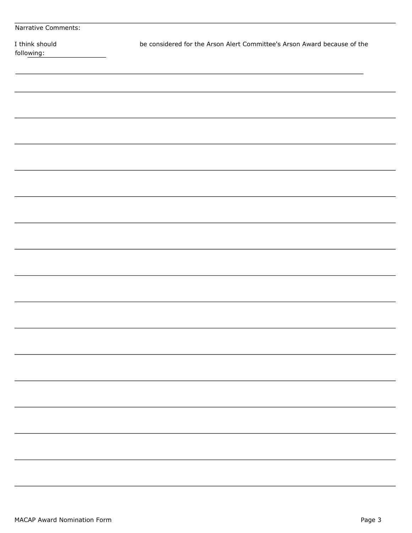| Narrative Comments:          |                                                                          |
|------------------------------|--------------------------------------------------------------------------|
| I think should<br>following: | be considered for the Arson Alert Committee's Arson Award because of the |
|                              |                                                                          |
|                              |                                                                          |
|                              |                                                                          |
|                              |                                                                          |
|                              |                                                                          |
|                              |                                                                          |
|                              |                                                                          |
|                              |                                                                          |
|                              |                                                                          |
|                              |                                                                          |
|                              |                                                                          |
|                              |                                                                          |
|                              |                                                                          |
|                              |                                                                          |
|                              |                                                                          |
|                              |                                                                          |